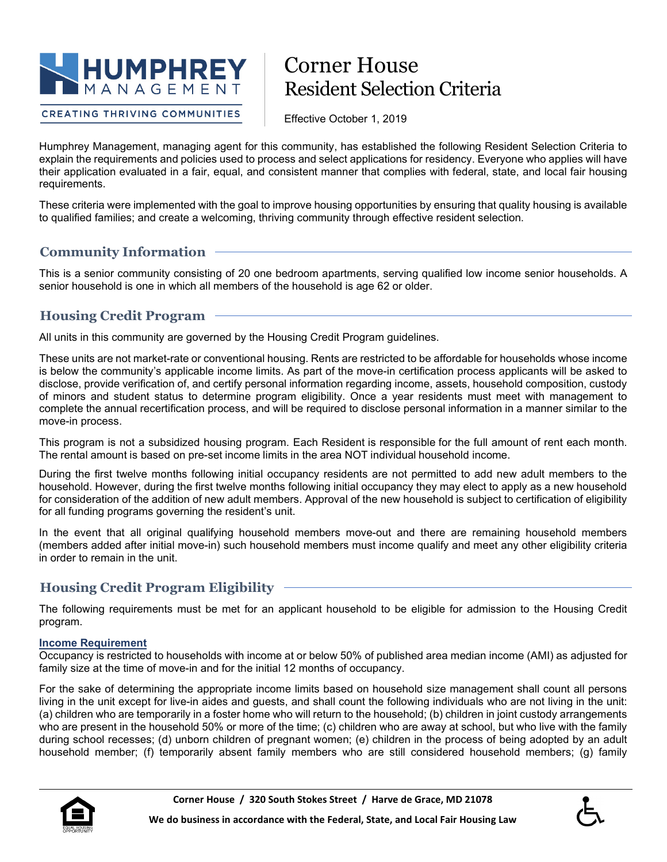

# Corner House Resident Selection Criteria

**CREATING THRIVING COMMUNITIES** 

Effective October 1, 2019

Humphrey Management, managing agent for this community, has established the following Resident Selection Criteria to explain the requirements and policies used to process and select applications for residency. Everyone who applies will have their application evaluated in a fair, equal, and consistent manner that complies with federal, state, and local fair housing requirements.

These criteria were implemented with the goal to improve housing opportunities by ensuring that quality housing is available to qualified families; and create a welcoming, thriving community through effective resident selection.

# **Community Information**

This is a senior community consisting of 20 one bedroom apartments, serving qualified low income senior households. A senior household is one in which all members of the household is age 62 or older.

# **Housing Credit Program**

All units in this community are governed by the Housing Credit Program guidelines.

These units are not market-rate or conventional housing. Rents are restricted to be affordable for households whose income is below the community's applicable income limits. As part of the move-in certification process applicants will be asked to disclose, provide verification of, and certify personal information regarding income, assets, household composition, custody of minors and student status to determine program eligibility. Once a year residents must meet with management to complete the annual recertification process, and will be required to disclose personal information in a manner similar to the move-in process.

This program is not a subsidized housing program. Each Resident is responsible for the full amount of rent each month. The rental amount is based on pre-set income limits in the area NOT individual household income.

During the first twelve months following initial occupancy residents are not permitted to add new adult members to the household. However, during the first twelve months following initial occupancy they may elect to apply as a new household for consideration of the addition of new adult members. Approval of the new household is subject to certification of eligibility for all funding programs governing the resident's unit.

In the event that all original qualifying household members move-out and there are remaining household members (members added after initial move-in) such household members must income qualify and meet any other eligibility criteria in order to remain in the unit.

# **Housing Credit Program Eligibility**

The following requirements must be met for an applicant household to be eligible for admission to the Housing Credit program.

#### **Income Requirement**

Occupancy is restricted to households with income at or below 50% of published area median income (AMI) as adjusted for family size at the time of move-in and for the initial 12 months of occupancy.

For the sake of determining the appropriate income limits based on household size management shall count all persons living in the unit except for live-in aides and guests, and shall count the following individuals who are not living in the unit: (a) children who are temporarily in a foster home who will return to the household; (b) children in joint custody arrangements who are present in the household 50% or more of the time; (c) children who are away at school, but who live with the family during school recesses; (d) unborn children of pregnant women; (e) children in the process of being adopted by an adult household member; (f) temporarily absent family members who are still considered household members; (g) family

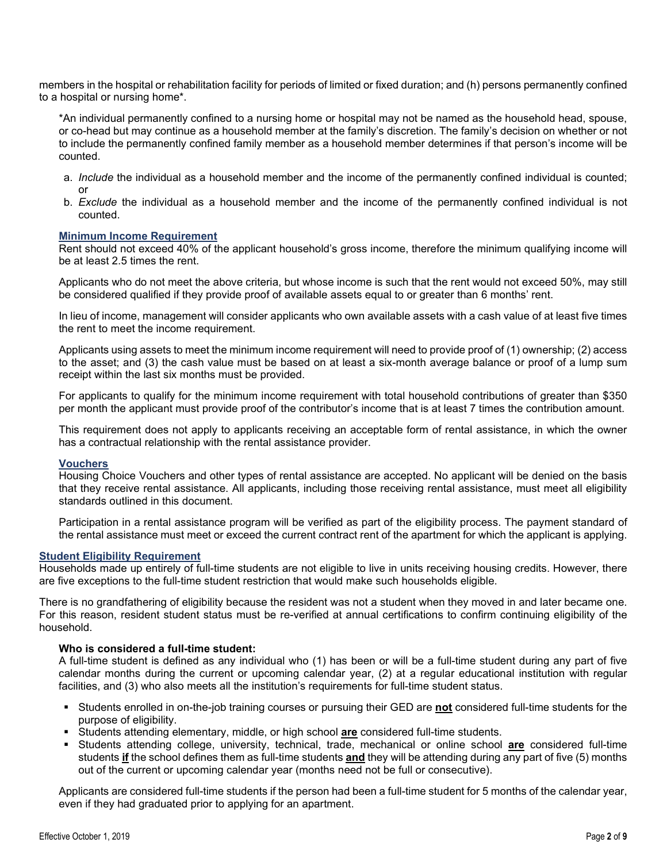members in the hospital or rehabilitation facility for periods of limited or fixed duration; and (h) persons permanently confined to a hospital or nursing home\*.

\*An individual permanently confined to a nursing home or hospital may not be named as the household head, spouse, or co-head but may continue as a household member at the family's discretion. The family's decision on whether or not to include the permanently confined family member as a household member determines if that person's income will be counted.

- a. *Include* the individual as a household member and the income of the permanently confined individual is counted; or
- b. *Exclude* the individual as a household member and the income of the permanently confined individual is not counted.

#### **Minimum Income Requirement**

Rent should not exceed 40% of the applicant household's gross income, therefore the minimum qualifying income will be at least 2.5 times the rent.

Applicants who do not meet the above criteria, but whose income is such that the rent would not exceed 50%, may still be considered qualified if they provide proof of available assets equal to or greater than 6 months' rent.

In lieu of income, management will consider applicants who own available assets with a cash value of at least five times the rent to meet the income requirement.

Applicants using assets to meet the minimum income requirement will need to provide proof of (1) ownership; (2) access to the asset; and (3) the cash value must be based on at least a six-month average balance or proof of a lump sum receipt within the last six months must be provided.

For applicants to qualify for the minimum income requirement with total household contributions of greater than \$350 per month the applicant must provide proof of the contributor's income that is at least 7 times the contribution amount.

This requirement does not apply to applicants receiving an acceptable form of rental assistance, in which the owner has a contractual relationship with the rental assistance provider.

#### **Vouchers**

Housing Choice Vouchers and other types of rental assistance are accepted. No applicant will be denied on the basis that they receive rental assistance. All applicants, including those receiving rental assistance, must meet all eligibility standards outlined in this document.

Participation in a rental assistance program will be verified as part of the eligibility process. The payment standard of the rental assistance must meet or exceed the current contract rent of the apartment for which the applicant is applying.

#### **Student Eligibility Requirement**

Households made up entirely of full-time students are not eligible to live in units receiving housing credits. However, there are five exceptions to the full-time student restriction that would make such households eligible.

There is no grandfathering of eligibility because the resident was not a student when they moved in and later became one. For this reason, resident student status must be re-verified at annual certifications to confirm continuing eligibility of the household.

#### **Who is considered a full-time student:**

A full-time student is defined as any individual who (1) has been or will be a full-time student during any part of five calendar months during the current or upcoming calendar year, (2) at a regular educational institution with regular facilities, and (3) who also meets all the institution's requirements for full-time student status.

- Students enrolled in on-the-job training courses or pursuing their GED are **not** considered full-time students for the purpose of eligibility.
- Students attending elementary, middle, or high school **are** considered full-time students.
- Students attending college, university, technical, trade, mechanical or online school **are** considered full-time students **if** the school defines them as full-time students **and** they will be attending during any part of five (5) months out of the current or upcoming calendar year (months need not be full or consecutive).

Applicants are considered full-time students if the person had been a full-time student for 5 months of the calendar year, even if they had graduated prior to applying for an apartment.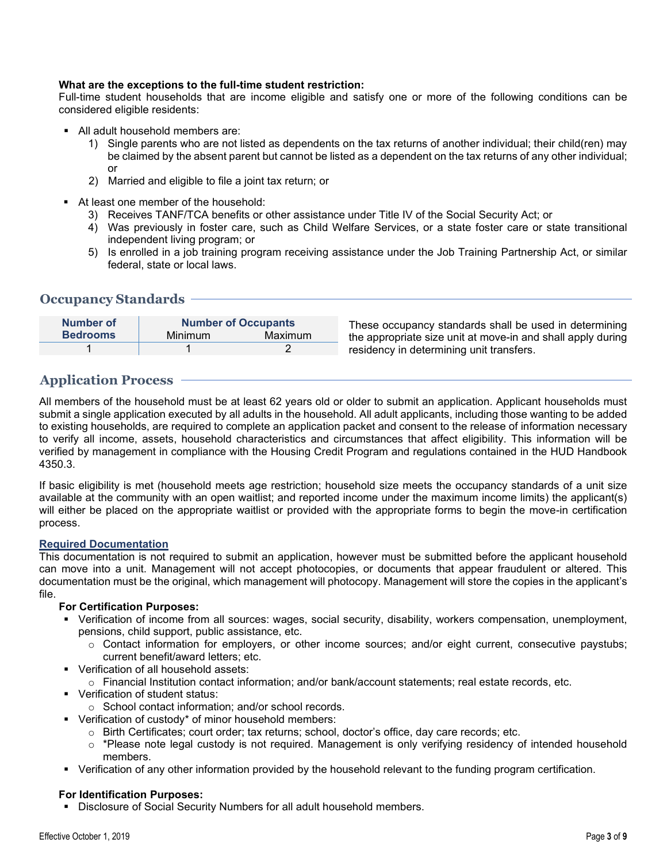#### **What are the exceptions to the full-time student restriction:**

Full-time student households that are income eligible and satisfy one or more of the following conditions can be considered eligible residents:

- All adult household members are:
	- 1) Single parents who are not listed as dependents on the tax returns of another individual; their child(ren) may be claimed by the absent parent but cannot be listed as a dependent on the tax returns of any other individual; or
	- 2) Married and eligible to file a joint tax return; or
- At least one member of the household:
	- 3) Receives TANF/TCA benefits or other assistance under Title IV of the Social Security Act; or
	- 4) Was previously in foster care, such as Child Welfare Services, or a state foster care or state transitional independent living program; or
	- 5) Is enrolled in a job training program receiving assistance under the Job Training Partnership Act, or similar federal, state or local laws.

#### **Occupancy Standards**

| Number of       | <b>Number of Occupants</b> |         |  |
|-----------------|----------------------------|---------|--|
| <b>Bedrooms</b> | Minimum                    | Maximum |  |
|                 |                            |         |  |

These occupancy standards shall be used in determining the appropriate size unit at move-in and shall apply during residency in determining unit transfers.

# **Application Process**

All members of the household must be at least 62 years old or older to submit an application. Applicant households must submit a single application executed by all adults in the household. All adult applicants, including those wanting to be added to existing households, are required to complete an application packet and consent to the release of information necessary to verify all income, assets, household characteristics and circumstances that affect eligibility. This information will be verified by management in compliance with the Housing Credit Program and regulations contained in the HUD Handbook 4350.3.

If basic eligibility is met (household meets age restriction; household size meets the occupancy standards of a unit size available at the community with an open waitlist; and reported income under the maximum income limits) the applicant(s) will either be placed on the appropriate waitlist or provided with the appropriate forms to begin the move-in certification process.

#### **Required Documentation**

This documentation is not required to submit an application, however must be submitted before the applicant household can move into a unit. Management will not accept photocopies, or documents that appear fraudulent or altered. This documentation must be the original, which management will photocopy. Management will store the copies in the applicant's file.

#### **For Certification Purposes:**

- Verification of income from all sources: wages, social security, disability, workers compensation, unemployment, pensions, child support, public assistance, etc.
	- o Contact information for employers, or other income sources; and/or eight current, consecutive paystubs; current benefit/award letters; etc.
- Verification of all household assets:
	- o Financial Institution contact information; and/or bank/account statements; real estate records, etc.
- **Verification of student status:** 
	- o School contact information; and/or school records.
- Verification of custody\* of minor household members:
	- o Birth Certificates; court order; tax returns; school, doctor's office, day care records; etc.
	- $\circ$  \*Please note legal custody is not required. Management is only verifying residency of intended household members.
- Verification of any other information provided by the household relevant to the funding program certification.

#### **For Identification Purposes:**

Disclosure of Social Security Numbers for all adult household members.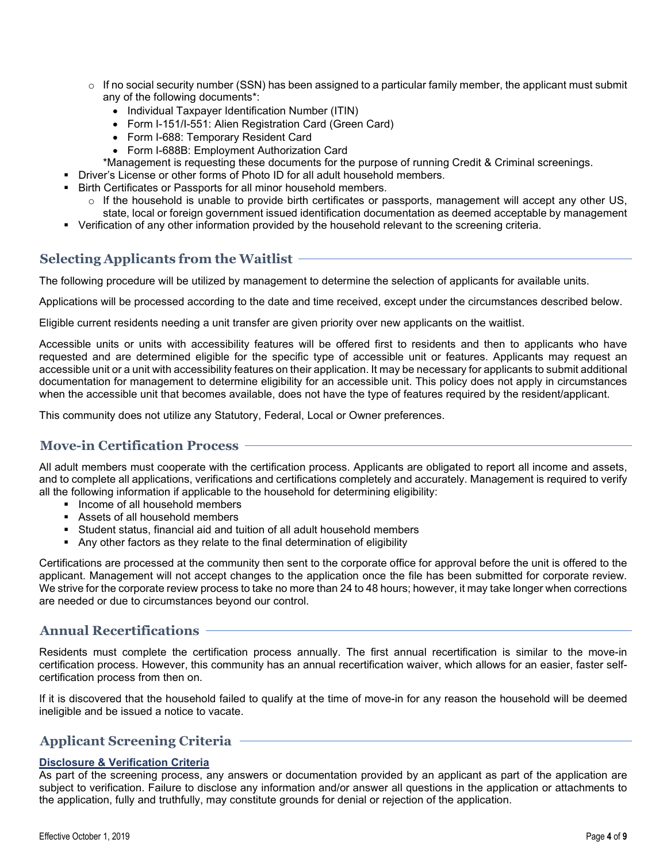- $\circ$  If no social security number (SSN) has been assigned to a particular family member, the applicant must submit any of the following documents\*:
	- Individual Taxpayer Identification Number (ITIN)
	- Form I-151/I-551: Alien Registration Card (Green Card)
	- Form I-688: Temporary Resident Card
	- Form I-688B: Employment Authorization Card
- \*Management is requesting these documents for the purpose of running Credit & Criminal screenings.
- Driver's License or other forms of Photo ID for all adult household members.
- Birth Certificates or Passports for all minor household members.
	- $\circ$  If the household is unable to provide birth certificates or passports, management will accept any other US, state, local or foreign government issued identification documentation as deemed acceptable by management
- Verification of any other information provided by the household relevant to the screening criteria.

# **Selecting Applicants from the Waitlist**

The following procedure will be utilized by management to determine the selection of applicants for available units.

Applications will be processed according to the date and time received, except under the circumstances described below.

Eligible current residents needing a unit transfer are given priority over new applicants on the waitlist.

Accessible units or units with accessibility features will be offered first to residents and then to applicants who have requested and are determined eligible for the specific type of accessible unit or features. Applicants may request an accessible unit or a unit with accessibility features on their application. It may be necessary for applicants to submit additional documentation for management to determine eligibility for an accessible unit. This policy does not apply in circumstances when the accessible unit that becomes available, does not have the type of features required by the resident/applicant.

This community does not utilize any Statutory, Federal, Local or Owner preferences.

### **Move-in Certification Process**

All adult members must cooperate with the certification process. Applicants are obligated to report all income and assets, and to complete all applications, verifications and certifications completely and accurately. Management is required to verify all the following information if applicable to the household for determining eligibility:

- Income of all household members
- Assets of all household members
- Student status, financial aid and tuition of all adult household members
- Any other factors as they relate to the final determination of eligibility

Certifications are processed at the community then sent to the corporate office for approval before the unit is offered to the applicant. Management will not accept changes to the application once the file has been submitted for corporate review. We strive for the corporate review process to take no more than 24 to 48 hours; however, it may take longer when corrections are needed or due to circumstances beyond our control.

# **Annual Recertifications**

Residents must complete the certification process annually. The first annual recertification is similar to the move-in certification process. However, this community has an annual recertification waiver, which allows for an easier, faster selfcertification process from then on.

If it is discovered that the household failed to qualify at the time of move-in for any reason the household will be deemed ineligible and be issued a notice to vacate.

# **Applicant Screening Criteria**

#### **Disclosure & Verification Criteria**

As part of the screening process, any answers or documentation provided by an applicant as part of the application are subject to verification. Failure to disclose any information and/or answer all questions in the application or attachments to the application, fully and truthfully, may constitute grounds for denial or rejection of the application.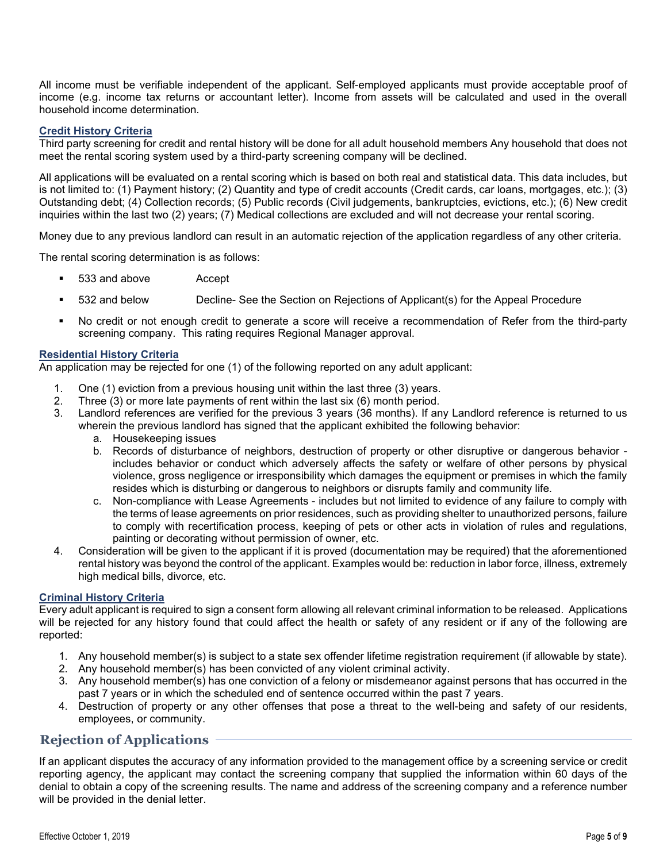All income must be verifiable independent of the applicant. Self-employed applicants must provide acceptable proof of income (e.g. income tax returns or accountant letter). Income from assets will be calculated and used in the overall household income determination.

#### **Credit History Criteria**

Third party screening for credit and rental history will be done for all adult household members Any household that does not meet the rental scoring system used by a third-party screening company will be declined.

All applications will be evaluated on a rental scoring which is based on both real and statistical data. This data includes, but is not limited to: (1) Payment history; (2) Quantity and type of credit accounts (Credit cards, car loans, mortgages, etc.); (3) Outstanding debt; (4) Collection records; (5) Public records (Civil judgements, bankruptcies, evictions, etc.); (6) New credit inquiries within the last two (2) years; (7) Medical collections are excluded and will not decrease your rental scoring.

Money due to any previous landlord can result in an automatic rejection of the application regardless of any other criteria.

The rental scoring determination is as follows:

- 533 and above Accept
- 532 and below Decline- See the Section on Rejections of Applicant(s) for the Appeal Procedure
- No credit or not enough credit to generate a score will receive a recommendation of Refer from the third-party screening company. This rating requires Regional Manager approval.

#### **Residential History Criteria**

An application may be rejected for one (1) of the following reported on any adult applicant:

- 1. One (1) eviction from a previous housing unit within the last three (3) years.
- 2. Three (3) or more late payments of rent within the last six (6) month period.<br>3. Landlord references are verified for the previous 3 vears (36 months). If an
- Landlord references are verified for the previous 3 years (36 months). If any Landlord reference is returned to us wherein the previous landlord has signed that the applicant exhibited the following behavior:
	- a. Housekeeping issues
	- b. Records of disturbance of neighbors, destruction of property or other disruptive or dangerous behavior includes behavior or conduct which adversely affects the safety or welfare of other persons by physical violence, gross negligence or irresponsibility which damages the equipment or premises in which the family resides which is disturbing or dangerous to neighbors or disrupts family and community life.
	- c. Non-compliance with Lease Agreements includes but not limited to evidence of any failure to comply with the terms of lease agreements on prior residences, such as providing shelter to unauthorized persons, failure to comply with recertification process, keeping of pets or other acts in violation of rules and regulations, painting or decorating without permission of owner, etc.
- 4. Consideration will be given to the applicant if it is proved (documentation may be required) that the aforementioned rental history was beyond the control of the applicant. Examples would be: reduction in labor force, illness, extremely high medical bills, divorce, etc.

#### **Criminal History Criteria**

Every adult applicant is required to sign a consent form allowing all relevant criminal information to be released. Applications will be rejected for any history found that could affect the health or safety of any resident or if any of the following are reported:

- 1. Any household member(s) is subject to a state sex offender lifetime registration requirement (if allowable by state).
- 2. Any household member(s) has been convicted of any violent criminal activity.
- 3. Any household member(s) has one conviction of a felony or misdemeanor against persons that has occurred in the past 7 years or in which the scheduled end of sentence occurred within the past 7 years.
- 4. Destruction of property or any other offenses that pose a threat to the well-being and safety of our residents, employees, or community.

### **Rejection of Applications**

If an applicant disputes the accuracy of any information provided to the management office by a screening service or credit reporting agency, the applicant may contact the screening company that supplied the information within 60 days of the denial to obtain a copy of the screening results. The name and address of the screening company and a reference number will be provided in the denial letter.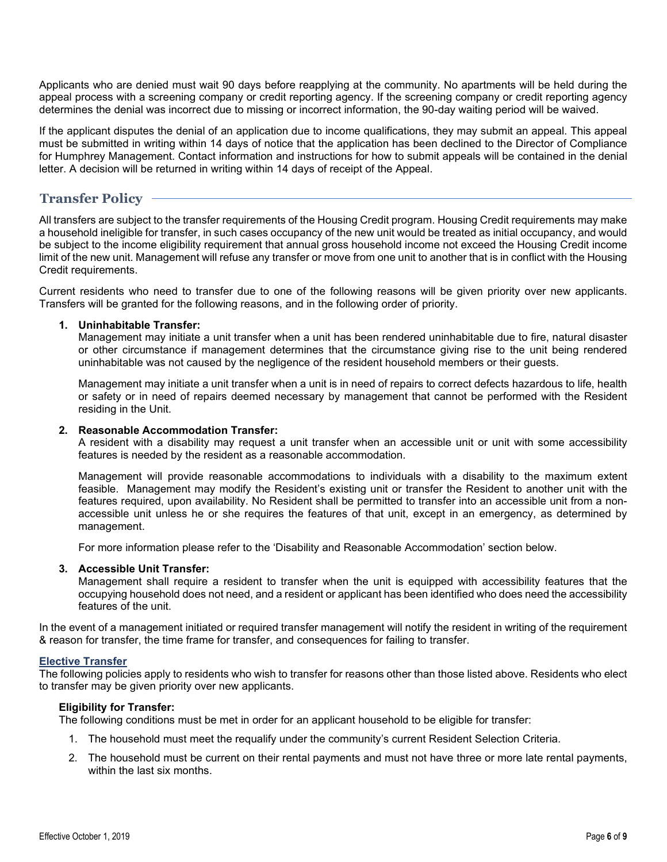Applicants who are denied must wait 90 days before reapplying at the community. No apartments will be held during the appeal process with a screening company or credit reporting agency. If the screening company or credit reporting agency determines the denial was incorrect due to missing or incorrect information, the 90-day waiting period will be waived.

If the applicant disputes the denial of an application due to income qualifications, they may submit an appeal. This appeal must be submitted in writing within 14 days of notice that the application has been declined to the Director of Compliance for Humphrey Management. Contact information and instructions for how to submit appeals will be contained in the denial letter. A decision will be returned in writing within 14 days of receipt of the Appeal.

# **Transfer Policy**

All transfers are subject to the transfer requirements of the Housing Credit program. Housing Credit requirements may make a household ineligible for transfer, in such cases occupancy of the new unit would be treated as initial occupancy, and would be subject to the income eligibility requirement that annual gross household income not exceed the Housing Credit income limit of the new unit. Management will refuse any transfer or move from one unit to another that is in conflict with the Housing Credit requirements.

Current residents who need to transfer due to one of the following reasons will be given priority over new applicants. Transfers will be granted for the following reasons, and in the following order of priority.

#### **1. Uninhabitable Transfer:**

Management may initiate a unit transfer when a unit has been rendered uninhabitable due to fire, natural disaster or other circumstance if management determines that the circumstance giving rise to the unit being rendered uninhabitable was not caused by the negligence of the resident household members or their guests.

Management may initiate a unit transfer when a unit is in need of repairs to correct defects hazardous to life, health or safety or in need of repairs deemed necessary by management that cannot be performed with the Resident residing in the Unit.

#### **2. Reasonable Accommodation Transfer:**

A resident with a disability may request a unit transfer when an accessible unit or unit with some accessibility features is needed by the resident as a reasonable accommodation.

Management will provide reasonable accommodations to individuals with a disability to the maximum extent feasible. Management may modify the Resident's existing unit or transfer the Resident to another unit with the features required, upon availability. No Resident shall be permitted to transfer into an accessible unit from a nonaccessible unit unless he or she requires the features of that unit, except in an emergency, as determined by management.

For more information please refer to the 'Disability and Reasonable Accommodation' section below.

#### **3. Accessible Unit Transfer:**

Management shall require a resident to transfer when the unit is equipped with accessibility features that the occupying household does not need, and a resident or applicant has been identified who does need the accessibility features of the unit.

In the event of a management initiated or required transfer management will notify the resident in writing of the requirement & reason for transfer, the time frame for transfer, and consequences for failing to transfer.

#### **Elective Transfer**

The following policies apply to residents who wish to transfer for reasons other than those listed above. Residents who elect to transfer may be given priority over new applicants.

#### **Eligibility for Transfer:**

The following conditions must be met in order for an applicant household to be eligible for transfer:

- 1. The household must meet the requalify under the community's current Resident Selection Criteria.
- 2. The household must be current on their rental payments and must not have three or more late rental payments, within the last six months.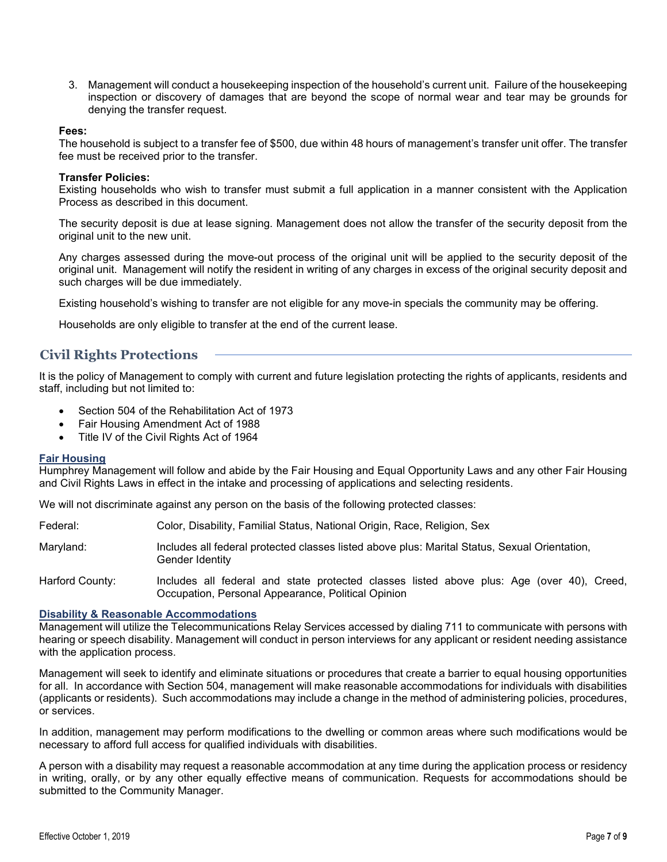3. Management will conduct a housekeeping inspection of the household's current unit. Failure of the housekeeping inspection or discovery of damages that are beyond the scope of normal wear and tear may be grounds for denying the transfer request.

#### **Fees:**

The household is subject to a transfer fee of \$500, due within 48 hours of management's transfer unit offer. The transfer fee must be received prior to the transfer.

#### **Transfer Policies:**

Existing households who wish to transfer must submit a full application in a manner consistent with the Application Process as described in this document.

The security deposit is due at lease signing. Management does not allow the transfer of the security deposit from the original unit to the new unit.

Any charges assessed during the move-out process of the original unit will be applied to the security deposit of the original unit. Management will notify the resident in writing of any charges in excess of the original security deposit and such charges will be due immediately.

Existing household's wishing to transfer are not eligible for any move-in specials the community may be offering.

Households are only eligible to transfer at the end of the current lease.

# **Civil Rights Protections**

It is the policy of Management to comply with current and future legislation protecting the rights of applicants, residents and staff, including but not limited to:

- Section 504 of the Rehabilitation Act of 1973
- Fair Housing Amendment Act of 1988
- Title IV of the Civil Rights Act of 1964

#### **Fair Housing**

Humphrey Management will follow and abide by the Fair Housing and Equal Opportunity Laws and any other Fair Housing and Civil Rights Laws in effect in the intake and processing of applications and selecting residents.

We will not discriminate against any person on the basis of the following protected classes:

| Color, Disability, Familial Status, National Origin, Race, Religion, Sex | Federal: |  |  |  |  |
|--------------------------------------------------------------------------|----------|--|--|--|--|
|--------------------------------------------------------------------------|----------|--|--|--|--|

Maryland: Includes all federal protected classes listed above plus: Marital Status, Sexual Orientation, Gender Identity

Harford County: Includes all federal and state protected classes listed above plus: Age (over 40), Creed, Occupation, Personal Appearance, Political Opinion

#### **Disability & Reasonable Accommodations**

Management will utilize the Telecommunications Relay Services accessed by dialing 711 to communicate with persons with hearing or speech disability. Management will conduct in person interviews for any applicant or resident needing assistance with the application process.

Management will seek to identify and eliminate situations or procedures that create a barrier to equal housing opportunities for all. In accordance with Section 504, management will make reasonable accommodations for individuals with disabilities (applicants or residents). Such accommodations may include a change in the method of administering policies, procedures, or services.

In addition, management may perform modifications to the dwelling or common areas where such modifications would be necessary to afford full access for qualified individuals with disabilities.

A person with a disability may request a reasonable accommodation at any time during the application process or residency in writing, orally, or by any other equally effective means of communication. Requests for accommodations should be submitted to the Community Manager.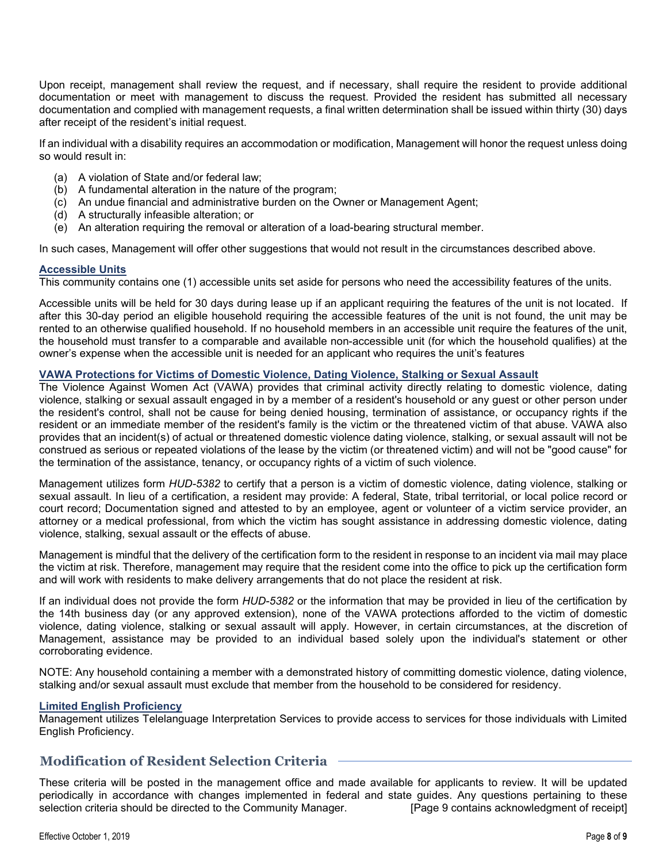Upon receipt, management shall review the request, and if necessary, shall require the resident to provide additional documentation or meet with management to discuss the request. Provided the resident has submitted all necessary documentation and complied with management requests, a final written determination shall be issued within thirty (30) days after receipt of the resident's initial request.

If an individual with a disability requires an accommodation or modification, Management will honor the request unless doing so would result in:

- (a) A violation of State and/or federal law;
- (b) A fundamental alteration in the nature of the program;
- (c) An undue financial and administrative burden on the Owner or Management Agent;
- (d) A structurally infeasible alteration; or
- (e) An alteration requiring the removal or alteration of a load-bearing structural member.

In such cases, Management will offer other suggestions that would not result in the circumstances described above.

### **Accessible Units**

This community contains one (1) accessible units set aside for persons who need the accessibility features of the units.

Accessible units will be held for 30 days during lease up if an applicant requiring the features of the unit is not located. If after this 30-day period an eligible household requiring the accessible features of the unit is not found, the unit may be rented to an otherwise qualified household. If no household members in an accessible unit require the features of the unit, the household must transfer to a comparable and available non-accessible unit (for which the household qualifies) at the owner's expense when the accessible unit is needed for an applicant who requires the unit's features

#### **VAWA Protections for Victims of Domestic Violence, Dating Violence, Stalking or Sexual Assault**

The Violence Against Women Act (VAWA) provides that criminal activity directly relating to domestic violence, dating violence, stalking or sexual assault engaged in by a member of a resident's household or any guest or other person under the resident's control, shall not be cause for being denied housing, termination of assistance, or occupancy rights if the resident or an immediate member of the resident's family is the victim or the threatened victim of that abuse. VAWA also provides that an incident(s) of actual or threatened domestic violence dating violence, stalking, or sexual assault will not be construed as serious or repeated violations of the lease by the victim (or threatened victim) and will not be "good cause" for the termination of the assistance, tenancy, or occupancy rights of a victim of such violence.

Management utilizes form *HUD-5382* to certify that a person is a victim of domestic violence, dating violence, stalking or sexual assault. In lieu of a certification, a resident may provide: A federal, State, tribal territorial, or local police record or court record; Documentation signed and attested to by an employee, agent or volunteer of a victim service provider, an attorney or a medical professional, from which the victim has sought assistance in addressing domestic violence, dating violence, stalking, sexual assault or the effects of abuse.

Management is mindful that the delivery of the certification form to the resident in response to an incident via mail may place the victim at risk. Therefore, management may require that the resident come into the office to pick up the certification form and will work with residents to make delivery arrangements that do not place the resident at risk.

If an individual does not provide the form *HUD-5382* or the information that may be provided in lieu of the certification by the 14th business day (or any approved extension), none of the VAWA protections afforded to the victim of domestic violence, dating violence, stalking or sexual assault will apply. However, in certain circumstances, at the discretion of Management, assistance may be provided to an individual based solely upon the individual's statement or other corroborating evidence.

NOTE: Any household containing a member with a demonstrated history of committing domestic violence, dating violence, stalking and/or sexual assault must exclude that member from the household to be considered for residency.

#### **Limited English Proficiency**

Management utilizes Telelanguage Interpretation Services to provide access to services for those individuals with Limited English Proficiency.

# **Modification of Resident Selection Criteria**

These criteria will be posted in the management office and made available for applicants to review. It will be updated periodically in accordance with changes implemented in federal and state guides. Any questions pertaining to these<br>[Page 9 contains acknowledgment of receipt] selection criteria should be directed to the Community Manager. selection criteria should be directed to the Community Manager.